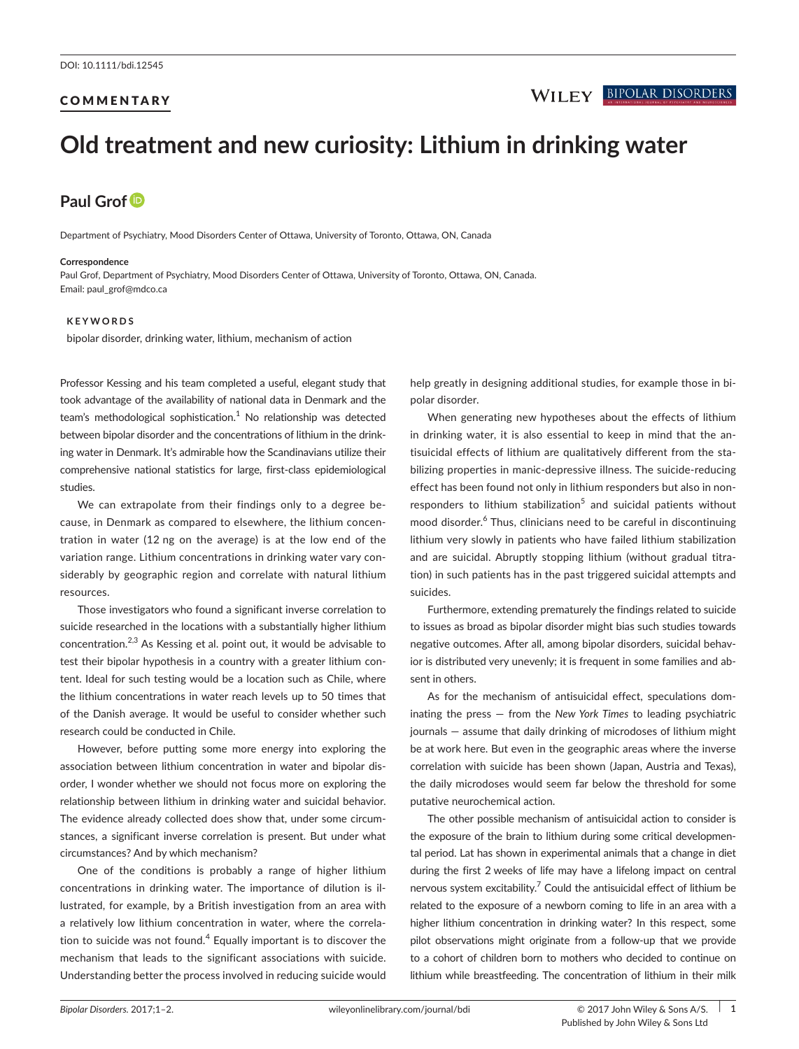# **COMMENTARY**

# **Old treatment and new curiosity: Lithium in drinking water**

# **Paul Grof**

Department of Psychiatry, Mood Disorders Center of Ottawa, University of Toronto, Ottawa, ON, Canada

#### **Correspondence**

Paul Grof, Department of Psychiatry, Mood Disorders Center of Ottawa, University of Toronto, Ottawa, ON, Canada. Email: [paul\\_grof@mdco.ca](mailto:paul_grof@mdco.ca)

#### **KEYWORDS**

bipolar disorder, drinking water, lithium, mechanism of action

Professor Kessing and his team completed a useful, elegant study that took advantage of the availability of national data in Denmark and the team's methodological sophistication.<sup>1</sup> No relationship was detected between bipolar disorder and the concentrations of lithium in the drinking water in Denmark. It's admirable how the Scandinavians utilize their comprehensive national statistics for large, first-class epidemiological studies.

We can extrapolate from their findings only to a degree because, in Denmark as compared to elsewhere, the lithium concentration in water (12 ng on the average) is at the low end of the variation range. Lithium concentrations in drinking water vary considerably by geographic region and correlate with natural lithium resources.

Those investigators who found a significant inverse correlation to suicide researched in the locations with a substantially higher lithium concentration. $2,3$  As Kessing et al. point out, it would be advisable to test their bipolar hypothesis in a country with a greater lithium content. Ideal for such testing would be a location such as Chile, where the lithium concentrations in water reach levels up to 50 times that of the Danish average. It would be useful to consider whether such research could be conducted in Chile.

However, before putting some more energy into exploring the association between lithium concentration in water and bipolar disorder, I wonder whether we should not focus more on exploring the relationship between lithium in drinking water and suicidal behavior. The evidence already collected does show that, under some circumstances, a significant inverse correlation is present. But under what circumstances? And by which mechanism?

One of the conditions is probably a range of higher lithium concentrations in drinking water. The importance of dilution is illustrated, for example, by a British investigation from an area with a relatively low lithium concentration in water, where the correlation to suicide was not found.<sup>4</sup> Equally important is to discover the mechanism that leads to the significant associations with suicide. Understanding better the process involved in reducing suicide would

help greatly in designing additional studies, for example those in bipolar disorder.

When generating new hypotheses about the effects of lithium in drinking water, it is also essential to keep in mind that the antisuicidal effects of lithium are qualitatively different from the stabilizing properties in manic-depressive illness. The suicide-reducing effect has been found not only in lithium responders but also in nonresponders to lithium stabilization<sup>5</sup> and suicidal patients without mood disorder.<sup>6</sup> Thus, clinicians need to be careful in discontinuing lithium very slowly in patients who have failed lithium stabilization and are suicidal. Abruptly stopping lithium (without gradual titration) in such patients has in the past triggered suicidal attempts and suicides.

Furthermore, extending prematurely the findings related to suicide to issues as broad as bipolar disorder might bias such studies towards negative outcomes. After all, among bipolar disorders, suicidal behavior is distributed very unevenly; it is frequent in some families and absent in others.

As for the mechanism of antisuicidal effect, speculations dominating the press — from the *New York Times* to leading psychiatric journals — assume that daily drinking of microdoses of lithium might be at work here. But even in the geographic areas where the inverse correlation with suicide has been shown (Japan, Austria and Texas), the daily microdoses would seem far below the threshold for some putative neurochemical action.

The other possible mechanism of antisuicidal action to consider is the exposure of the brain to lithium during some critical developmental period. Lat has shown in experimental animals that a change in diet during the first 2 weeks of life may have a lifelong impact on central nervous system excitability. $7$  Could the antisuicidal effect of lithium be related to the exposure of a newborn coming to life in an area with a higher lithium concentration in drinking water? In this respect, some pilot observations might originate from a follow-up that we provide to a cohort of children born to mothers who decided to continue on lithium while breastfeeding. The concentration of lithium in their milk